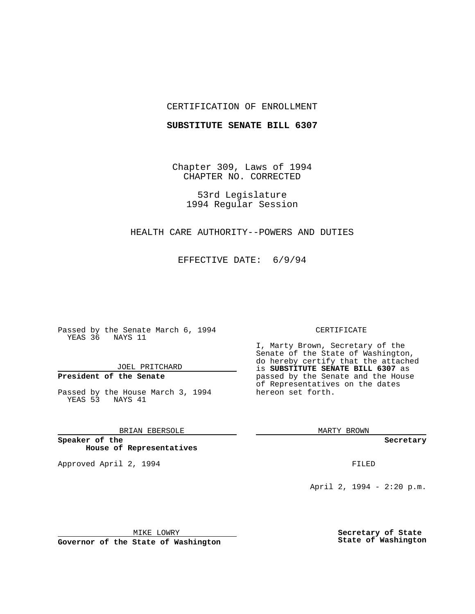# CERTIFICATION OF ENROLLMENT

## **SUBSTITUTE SENATE BILL 6307**

Chapter 309, Laws of 1994 CHAPTER NO. CORRECTED

53rd Legislature 1994 Regular Session

HEALTH CARE AUTHORITY--POWERS AND DUTIES

EFFECTIVE DATE: 6/9/94

Passed by the Senate March 6, 1994 YEAS 36 NAYS 11

JOEL PRITCHARD

# **President of the Senate**

Passed by the House March 3, 1994 YEAS 53 NAYS 41

BRIAN EBERSOLE

**Speaker of the House of Representatives**

Approved April 2, 1994 **FILED** 

#### CERTIFICATE

I, Marty Brown, Secretary of the Senate of the State of Washington, do hereby certify that the attached is **SUBSTITUTE SENATE BILL 6307** as passed by the Senate and the House of Representatives on the dates hereon set forth.

MARTY BROWN

**Secretary**

April 2, 1994 - 2:20 p.m.

MIKE LOWRY

**Governor of the State of Washington**

**Secretary of State State of Washington**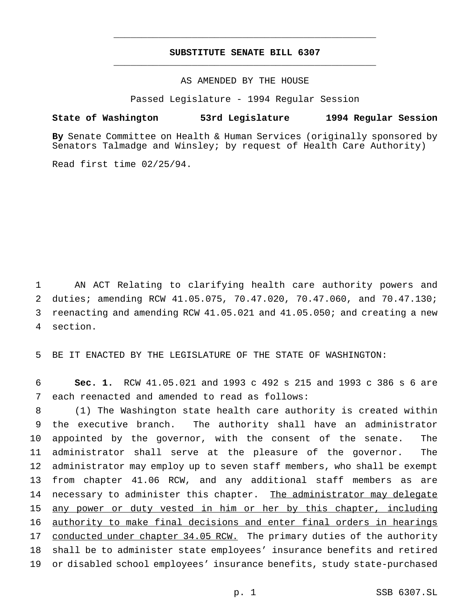# **SUBSTITUTE SENATE BILL 6307** \_\_\_\_\_\_\_\_\_\_\_\_\_\_\_\_\_\_\_\_\_\_\_\_\_\_\_\_\_\_\_\_\_\_\_\_\_\_\_\_\_\_\_\_\_\_\_

\_\_\_\_\_\_\_\_\_\_\_\_\_\_\_\_\_\_\_\_\_\_\_\_\_\_\_\_\_\_\_\_\_\_\_\_\_\_\_\_\_\_\_\_\_\_\_

# AS AMENDED BY THE HOUSE

Passed Legislature - 1994 Regular Session

### **State of Washington 53rd Legislature 1994 Regular Session**

**By** Senate Committee on Health & Human Services (originally sponsored by Senators Talmadge and Winsley; by request of Health Care Authority)

Read first time 02/25/94.

 AN ACT Relating to clarifying health care authority powers and duties; amending RCW 41.05.075, 70.47.020, 70.47.060, and 70.47.130; reenacting and amending RCW 41.05.021 and 41.05.050; and creating a new 4 section.

5 BE IT ENACTED BY THE LEGISLATURE OF THE STATE OF WASHINGTON:

6 **Sec. 1.** RCW 41.05.021 and 1993 c 492 s 215 and 1993 c 386 s 6 are 7 each reenacted and amended to read as follows:

 (1) The Washington state health care authority is created within the executive branch. The authority shall have an administrator appointed by the governor, with the consent of the senate. The administrator shall serve at the pleasure of the governor. The administrator may employ up to seven staff members, who shall be exempt from chapter 41.06 RCW, and any additional staff members as are 14 necessary to administer this chapter. The administrator may delegate any power or duty vested in him or her by this chapter, including authority to make final decisions and enter final orders in hearings 17 conducted under chapter 34.05 RCW. The primary duties of the authority shall be to administer state employees' insurance benefits and retired or disabled school employees' insurance benefits, study state-purchased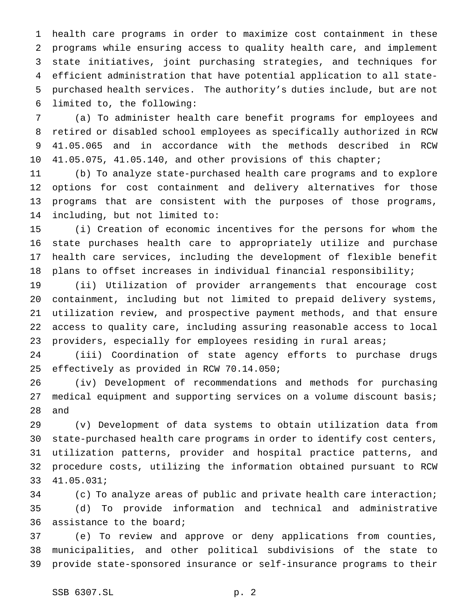health care programs in order to maximize cost containment in these programs while ensuring access to quality health care, and implement state initiatives, joint purchasing strategies, and techniques for efficient administration that have potential application to all state- purchased health services. The authority's duties include, but are not limited to, the following:

 (a) To administer health care benefit programs for employees and retired or disabled school employees as specifically authorized in RCW 41.05.065 and in accordance with the methods described in RCW 10 41.05.075, 41.05.140, and other provisions of this chapter;

 (b) To analyze state-purchased health care programs and to explore options for cost containment and delivery alternatives for those programs that are consistent with the purposes of those programs, including, but not limited to:

 (i) Creation of economic incentives for the persons for whom the state purchases health care to appropriately utilize and purchase health care services, including the development of flexible benefit plans to offset increases in individual financial responsibility;

 (ii) Utilization of provider arrangements that encourage cost containment, including but not limited to prepaid delivery systems, utilization review, and prospective payment methods, and that ensure access to quality care, including assuring reasonable access to local 23 providers, especially for employees residing in rural areas;

 (iii) Coordination of state agency efforts to purchase drugs effectively as provided in RCW 70.14.050;

 (iv) Development of recommendations and methods for purchasing medical equipment and supporting services on a volume discount basis; and

 (v) Development of data systems to obtain utilization data from state-purchased health care programs in order to identify cost centers, utilization patterns, provider and hospital practice patterns, and procedure costs, utilizing the information obtained pursuant to RCW 41.05.031;

 (c) To analyze areas of public and private health care interaction; (d) To provide information and technical and administrative assistance to the board;

 (e) To review and approve or deny applications from counties, municipalities, and other political subdivisions of the state to provide state-sponsored insurance or self-insurance programs to their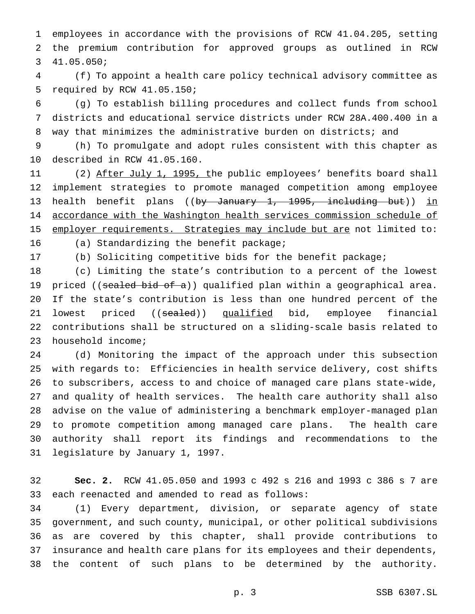employees in accordance with the provisions of RCW 41.04.205, setting the premium contribution for approved groups as outlined in RCW 41.05.050;

 (f) To appoint a health care policy technical advisory committee as required by RCW 41.05.150;

 (g) To establish billing procedures and collect funds from school districts and educational service districts under RCW 28A.400.400 in a way that minimizes the administrative burden on districts; and

 (h) To promulgate and adopt rules consistent with this chapter as described in RCW 41.05.160.

11 (2) After July 1, 1995, the public employees' benefits board shall implement strategies to promote managed competition among employee 13 health benefit plans ((by January 1, 1995, including but)) in accordance with the Washington health services commission schedule of 15 employer requirements. Strategies may include but are not limited to: (a) Standardizing the benefit package;

(b) Soliciting competitive bids for the benefit package;

 (c) Limiting the state's contribution to a percent of the lowest 19 priced ((sealed bid of a)) qualified plan within a geographical area. If the state's contribution is less than one hundred percent of the 21 lowest priced ((sealed)) qualified bid, employee financial contributions shall be structured on a sliding-scale basis related to household income;

 (d) Monitoring the impact of the approach under this subsection with regards to: Efficiencies in health service delivery, cost shifts to subscribers, access to and choice of managed care plans state-wide, and quality of health services. The health care authority shall also advise on the value of administering a benchmark employer-managed plan to promote competition among managed care plans. The health care authority shall report its findings and recommendations to the legislature by January 1, 1997.

 **Sec. 2.** RCW 41.05.050 and 1993 c 492 s 216 and 1993 c 386 s 7 are each reenacted and amended to read as follows:

 (1) Every department, division, or separate agency of state government, and such county, municipal, or other political subdivisions as are covered by this chapter, shall provide contributions to insurance and health care plans for its employees and their dependents, the content of such plans to be determined by the authority.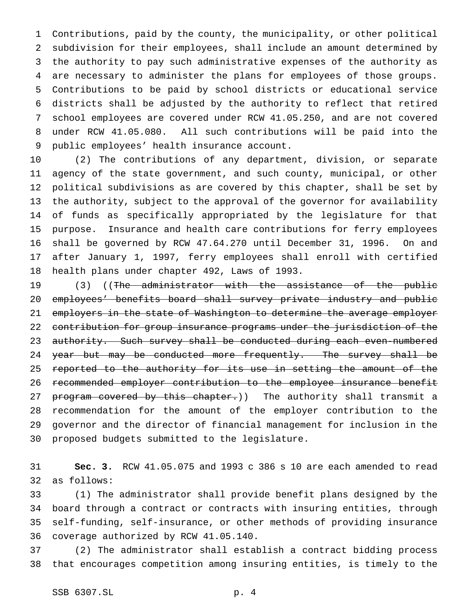Contributions, paid by the county, the municipality, or other political subdivision for their employees, shall include an amount determined by the authority to pay such administrative expenses of the authority as are necessary to administer the plans for employees of those groups. Contributions to be paid by school districts or educational service districts shall be adjusted by the authority to reflect that retired school employees are covered under RCW 41.05.250, and are not covered under RCW 41.05.080. All such contributions will be paid into the public employees' health insurance account.

 (2) The contributions of any department, division, or separate agency of the state government, and such county, municipal, or other political subdivisions as are covered by this chapter, shall be set by the authority, subject to the approval of the governor for availability of funds as specifically appropriated by the legislature for that purpose. Insurance and health care contributions for ferry employees shall be governed by RCW 47.64.270 until December 31, 1996. On and after January 1, 1997, ferry employees shall enroll with certified health plans under chapter 492, Laws of 1993.

19 (3) ((The administrator with the assistance of the public employees' benefits board shall survey private industry and public employers in the state of Washington to determine the average employer contribution for group insurance programs under the jurisdiction of the 23 authority. Such survey shall be conducted during each even-numbered 24 year but may be conducted more frequently. The survey shall be 25 reported to the authority for its use in setting the amount of the recommended employer contribution to the employee insurance benefit 27 program covered by this chapter.)) The authority shall transmit a recommendation for the amount of the employer contribution to the governor and the director of financial management for inclusion in the proposed budgets submitted to the legislature.

 **Sec. 3.** RCW 41.05.075 and 1993 c 386 s 10 are each amended to read as follows:

 (1) The administrator shall provide benefit plans designed by the board through a contract or contracts with insuring entities, through self-funding, self-insurance, or other methods of providing insurance coverage authorized by RCW 41.05.140.

 (2) The administrator shall establish a contract bidding process that encourages competition among insuring entities, is timely to the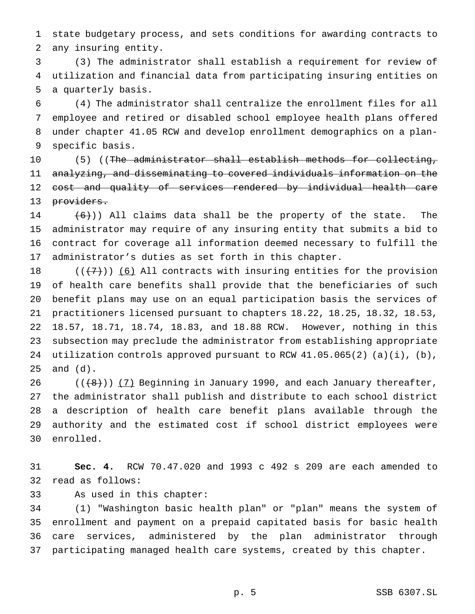state budgetary process, and sets conditions for awarding contracts to any insuring entity.

 (3) The administrator shall establish a requirement for review of utilization and financial data from participating insuring entities on a quarterly basis.

 (4) The administrator shall centralize the enrollment files for all employee and retired or disabled school employee health plans offered under chapter 41.05 RCW and develop enrollment demographics on a plan-specific basis.

10 (5) ((The administrator shall establish methods for collecting, analyzing, and disseminating to covered individuals information on the 12 cost and quality of services rendered by individual health care 13 providers.

 $(6)$ ) All claims data shall be the property of the state. The administrator may require of any insuring entity that submits a bid to contract for coverage all information deemed necessary to fulfill the administrator's duties as set forth in this chapter.

 $((+7))$  (6) All contracts with insuring entities for the provision of health care benefits shall provide that the beneficiaries of such benefit plans may use on an equal participation basis the services of practitioners licensed pursuant to chapters 18.22, 18.25, 18.32, 18.53, 18.57, 18.71, 18.74, 18.83, and 18.88 RCW. However, nothing in this subsection may preclude the administrator from establishing appropriate 24 utilization controls approved pursuant to RCW  $41.05.065(2)$  (a)(i), (b), and (d).

 $((+8))$   $(7)$  Beginning in January 1990, and each January thereafter, the administrator shall publish and distribute to each school district a description of health care benefit plans available through the authority and the estimated cost if school district employees were enrolled.

 **Sec. 4.** RCW 70.47.020 and 1993 c 492 s 209 are each amended to read as follows:

As used in this chapter:

 (1) "Washington basic health plan" or "plan" means the system of enrollment and payment on a prepaid capitated basis for basic health care services, administered by the plan administrator through participating managed health care systems, created by this chapter.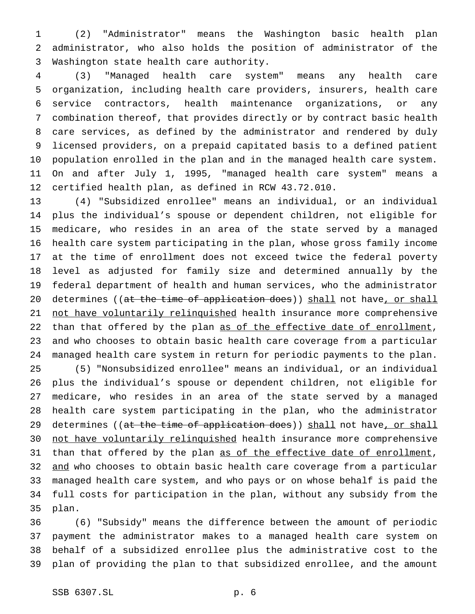(2) "Administrator" means the Washington basic health plan administrator, who also holds the position of administrator of the Washington state health care authority.

 (3) "Managed health care system" means any health care organization, including health care providers, insurers, health care service contractors, health maintenance organizations, or any combination thereof, that provides directly or by contract basic health care services, as defined by the administrator and rendered by duly licensed providers, on a prepaid capitated basis to a defined patient population enrolled in the plan and in the managed health care system. On and after July 1, 1995, "managed health care system" means a certified health plan, as defined in RCW 43.72.010.

 (4) "Subsidized enrollee" means an individual, or an individual plus the individual's spouse or dependent children, not eligible for medicare, who resides in an area of the state served by a managed health care system participating in the plan, whose gross family income at the time of enrollment does not exceed twice the federal poverty level as adjusted for family size and determined annually by the federal department of health and human services, who the administrator 20 determines ((at the time of application does)) shall not have, or shall 21 not have voluntarily relinquished health insurance more comprehensive 22 than that offered by the plan as of the effective date of enrollment, and who chooses to obtain basic health care coverage from a particular managed health care system in return for periodic payments to the plan. (5) "Nonsubsidized enrollee" means an individual, or an individual plus the individual's spouse or dependent children, not eligible for medicare, who resides in an area of the state served by a managed health care system participating in the plan, who the administrator 29 determines ((at the time of application does)) shall not have, or shall 30 not have voluntarily relinquished health insurance more comprehensive 31 than that offered by the plan as of the effective date of enrollment, 32 and who chooses to obtain basic health care coverage from a particular managed health care system, and who pays or on whose behalf is paid the full costs for participation in the plan, without any subsidy from the plan.

 (6) "Subsidy" means the difference between the amount of periodic payment the administrator makes to a managed health care system on behalf of a subsidized enrollee plus the administrative cost to the plan of providing the plan to that subsidized enrollee, and the amount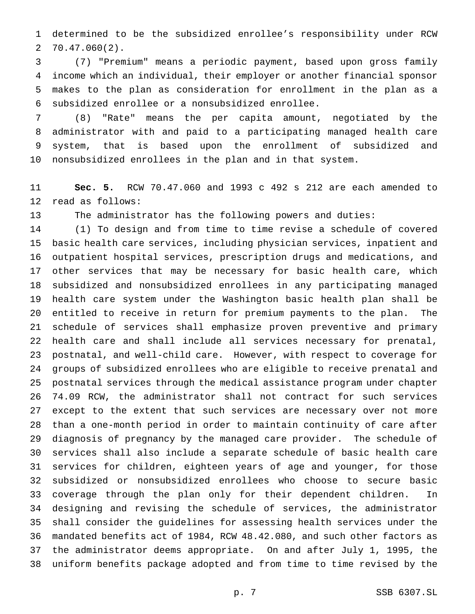determined to be the subsidized enrollee's responsibility under RCW 70.47.060(2).

 (7) "Premium" means a periodic payment, based upon gross family income which an individual, their employer or another financial sponsor makes to the plan as consideration for enrollment in the plan as a subsidized enrollee or a nonsubsidized enrollee.

 (8) "Rate" means the per capita amount, negotiated by the administrator with and paid to a participating managed health care system, that is based upon the enrollment of subsidized and nonsubsidized enrollees in the plan and in that system.

 **Sec. 5.** RCW 70.47.060 and 1993 c 492 s 212 are each amended to read as follows:

The administrator has the following powers and duties:

 (1) To design and from time to time revise a schedule of covered basic health care services, including physician services, inpatient and outpatient hospital services, prescription drugs and medications, and other services that may be necessary for basic health care, which subsidized and nonsubsidized enrollees in any participating managed health care system under the Washington basic health plan shall be entitled to receive in return for premium payments to the plan. The schedule of services shall emphasize proven preventive and primary health care and shall include all services necessary for prenatal, postnatal, and well-child care. However, with respect to coverage for groups of subsidized enrollees who are eligible to receive prenatal and postnatal services through the medical assistance program under chapter 74.09 RCW, the administrator shall not contract for such services except to the extent that such services are necessary over not more than a one-month period in order to maintain continuity of care after diagnosis of pregnancy by the managed care provider. The schedule of services shall also include a separate schedule of basic health care services for children, eighteen years of age and younger, for those subsidized or nonsubsidized enrollees who choose to secure basic coverage through the plan only for their dependent children. In designing and revising the schedule of services, the administrator shall consider the guidelines for assessing health services under the mandated benefits act of 1984, RCW 48.42.080, and such other factors as the administrator deems appropriate. On and after July 1, 1995, the uniform benefits package adopted and from time to time revised by the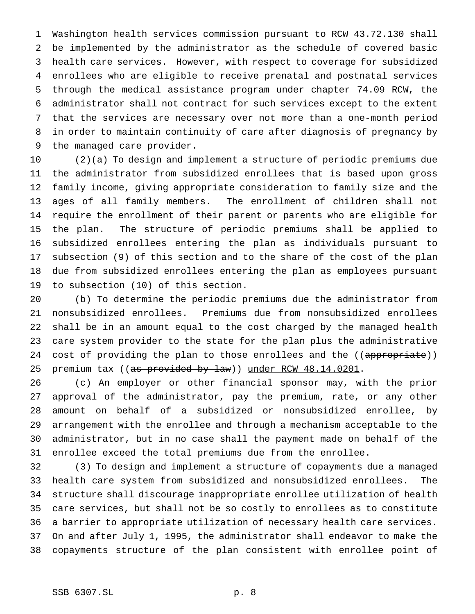Washington health services commission pursuant to RCW 43.72.130 shall be implemented by the administrator as the schedule of covered basic health care services. However, with respect to coverage for subsidized enrollees who are eligible to receive prenatal and postnatal services through the medical assistance program under chapter 74.09 RCW, the administrator shall not contract for such services except to the extent that the services are necessary over not more than a one-month period in order to maintain continuity of care after diagnosis of pregnancy by the managed care provider.

 (2)(a) To design and implement a structure of periodic premiums due the administrator from subsidized enrollees that is based upon gross family income, giving appropriate consideration to family size and the ages of all family members. The enrollment of children shall not require the enrollment of their parent or parents who are eligible for the plan. The structure of periodic premiums shall be applied to subsidized enrollees entering the plan as individuals pursuant to subsection (9) of this section and to the share of the cost of the plan due from subsidized enrollees entering the plan as employees pursuant to subsection (10) of this section.

 (b) To determine the periodic premiums due the administrator from nonsubsidized enrollees. Premiums due from nonsubsidized enrollees shall be in an amount equal to the cost charged by the managed health care system provider to the state for the plan plus the administrative 24 cost of providing the plan to those enrollees and the ((appropriate)) 25 premium tax ((as provided by law)) under RCW 48.14.0201.

 (c) An employer or other financial sponsor may, with the prior approval of the administrator, pay the premium, rate, or any other amount on behalf of a subsidized or nonsubsidized enrollee, by arrangement with the enrollee and through a mechanism acceptable to the administrator, but in no case shall the payment made on behalf of the enrollee exceed the total premiums due from the enrollee.

 (3) To design and implement a structure of copayments due a managed health care system from subsidized and nonsubsidized enrollees. The structure shall discourage inappropriate enrollee utilization of health care services, but shall not be so costly to enrollees as to constitute a barrier to appropriate utilization of necessary health care services. On and after July 1, 1995, the administrator shall endeavor to make the copayments structure of the plan consistent with enrollee point of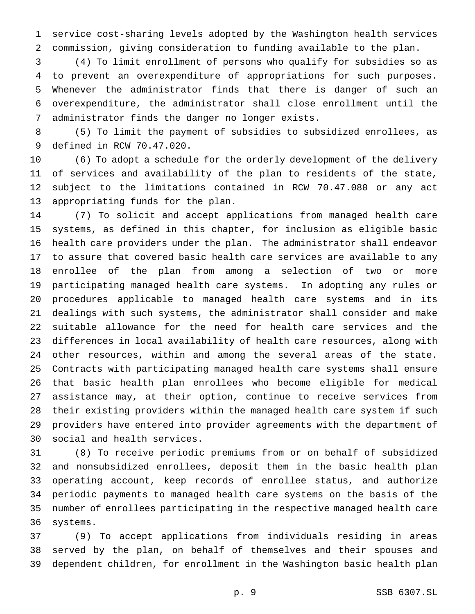service cost-sharing levels adopted by the Washington health services commission, giving consideration to funding available to the plan.

 (4) To limit enrollment of persons who qualify for subsidies so as to prevent an overexpenditure of appropriations for such purposes. Whenever the administrator finds that there is danger of such an overexpenditure, the administrator shall close enrollment until the administrator finds the danger no longer exists.

 (5) To limit the payment of subsidies to subsidized enrollees, as defined in RCW 70.47.020.

 (6) To adopt a schedule for the orderly development of the delivery of services and availability of the plan to residents of the state, subject to the limitations contained in RCW 70.47.080 or any act appropriating funds for the plan.

 (7) To solicit and accept applications from managed health care systems, as defined in this chapter, for inclusion as eligible basic health care providers under the plan. The administrator shall endeavor to assure that covered basic health care services are available to any enrollee of the plan from among a selection of two or more participating managed health care systems. In adopting any rules or procedures applicable to managed health care systems and in its dealings with such systems, the administrator shall consider and make suitable allowance for the need for health care services and the differences in local availability of health care resources, along with other resources, within and among the several areas of the state. Contracts with participating managed health care systems shall ensure that basic health plan enrollees who become eligible for medical assistance may, at their option, continue to receive services from their existing providers within the managed health care system if such providers have entered into provider agreements with the department of social and health services.

 (8) To receive periodic premiums from or on behalf of subsidized and nonsubsidized enrollees, deposit them in the basic health plan operating account, keep records of enrollee status, and authorize periodic payments to managed health care systems on the basis of the number of enrollees participating in the respective managed health care systems.

 (9) To accept applications from individuals residing in areas served by the plan, on behalf of themselves and their spouses and dependent children, for enrollment in the Washington basic health plan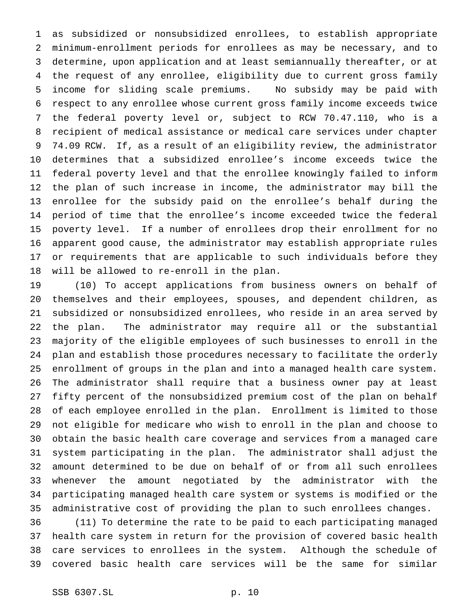as subsidized or nonsubsidized enrollees, to establish appropriate minimum-enrollment periods for enrollees as may be necessary, and to determine, upon application and at least semiannually thereafter, or at the request of any enrollee, eligibility due to current gross family income for sliding scale premiums. No subsidy may be paid with respect to any enrollee whose current gross family income exceeds twice the federal poverty level or, subject to RCW 70.47.110, who is a recipient of medical assistance or medical care services under chapter 74.09 RCW. If, as a result of an eligibility review, the administrator determines that a subsidized enrollee's income exceeds twice the federal poverty level and that the enrollee knowingly failed to inform the plan of such increase in income, the administrator may bill the enrollee for the subsidy paid on the enrollee's behalf during the period of time that the enrollee's income exceeded twice the federal poverty level. If a number of enrollees drop their enrollment for no apparent good cause, the administrator may establish appropriate rules or requirements that are applicable to such individuals before they will be allowed to re-enroll in the plan.

 (10) To accept applications from business owners on behalf of themselves and their employees, spouses, and dependent children, as subsidized or nonsubsidized enrollees, who reside in an area served by the plan. The administrator may require all or the substantial majority of the eligible employees of such businesses to enroll in the plan and establish those procedures necessary to facilitate the orderly enrollment of groups in the plan and into a managed health care system. The administrator shall require that a business owner pay at least fifty percent of the nonsubsidized premium cost of the plan on behalf of each employee enrolled in the plan. Enrollment is limited to those not eligible for medicare who wish to enroll in the plan and choose to obtain the basic health care coverage and services from a managed care system participating in the plan. The administrator shall adjust the amount determined to be due on behalf of or from all such enrollees whenever the amount negotiated by the administrator with the participating managed health care system or systems is modified or the administrative cost of providing the plan to such enrollees changes.

 (11) To determine the rate to be paid to each participating managed health care system in return for the provision of covered basic health care services to enrollees in the system. Although the schedule of covered basic health care services will be the same for similar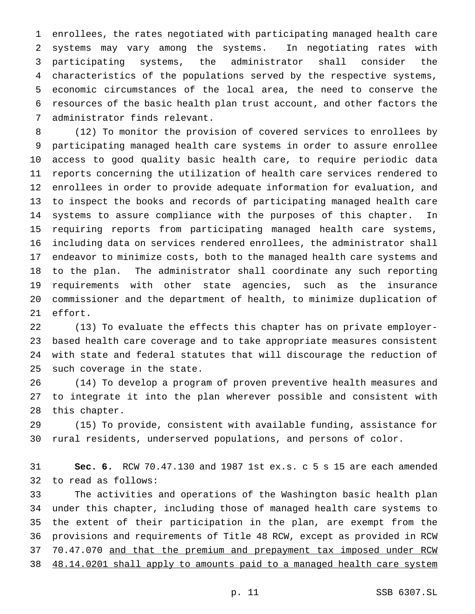enrollees, the rates negotiated with participating managed health care systems may vary among the systems. In negotiating rates with participating systems, the administrator shall consider the characteristics of the populations served by the respective systems, economic circumstances of the local area, the need to conserve the resources of the basic health plan trust account, and other factors the administrator finds relevant.

 (12) To monitor the provision of covered services to enrollees by participating managed health care systems in order to assure enrollee access to good quality basic health care, to require periodic data reports concerning the utilization of health care services rendered to enrollees in order to provide adequate information for evaluation, and to inspect the books and records of participating managed health care systems to assure compliance with the purposes of this chapter. In requiring reports from participating managed health care systems, including data on services rendered enrollees, the administrator shall endeavor to minimize costs, both to the managed health care systems and to the plan. The administrator shall coordinate any such reporting requirements with other state agencies, such as the insurance commissioner and the department of health, to minimize duplication of effort.

 (13) To evaluate the effects this chapter has on private employer- based health care coverage and to take appropriate measures consistent with state and federal statutes that will discourage the reduction of such coverage in the state.

 (14) To develop a program of proven preventive health measures and to integrate it into the plan wherever possible and consistent with this chapter.

 (15) To provide, consistent with available funding, assistance for rural residents, underserved populations, and persons of color.

 **Sec. 6.** RCW 70.47.130 and 1987 1st ex.s. c 5 s 15 are each amended to read as follows:

 The activities and operations of the Washington basic health plan under this chapter, including those of managed health care systems to the extent of their participation in the plan, are exempt from the provisions and requirements of Title 48 RCW, except as provided in RCW 70.47.070 and that the premium and prepayment tax imposed under RCW 48.14.0201 shall apply to amounts paid to a managed health care system